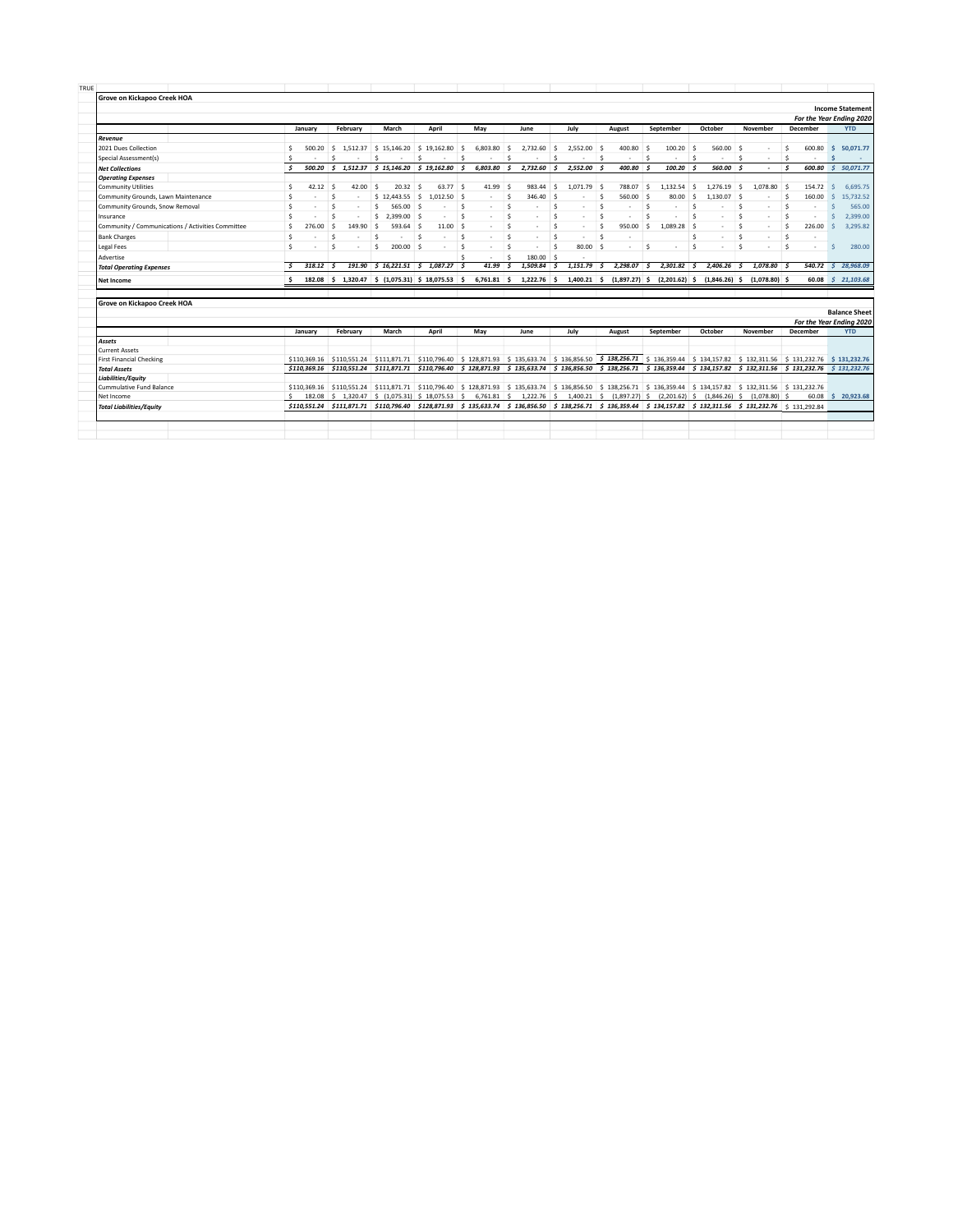|                                                   |                    |            |                    |                                                                                            |                            |               |                      |           |                       |                                |                              |               |                          |                                                                                                                                                                                                                                                                                         |                 |         | For the Year Ending 2020                         |
|---------------------------------------------------|--------------------|------------|--------------------|--------------------------------------------------------------------------------------------|----------------------------|---------------|----------------------|-----------|-----------------------|--------------------------------|------------------------------|---------------|--------------------------|-----------------------------------------------------------------------------------------------------------------------------------------------------------------------------------------------------------------------------------------------------------------------------------------|-----------------|---------|--------------------------------------------------|
|                                                   | January            |            | February           | March                                                                                      | April                      | May           |                      | June      | July                  | August                         |                              | September     | October                  | November                                                                                                                                                                                                                                                                                | <b>December</b> |         | <b>YTD</b>                                       |
| Revenue                                           |                    |            |                    |                                                                                            |                            |               |                      |           |                       |                                |                              |               |                          |                                                                                                                                                                                                                                                                                         |                 |         |                                                  |
| 2021 Dues Collection                              | Š.                 | 500.20     |                    | \$1,512.37 \$15.146.20 \$19.162.80 \$                                                      |                            | 6,803.80      | ιś.                  | 2.732.60  | $2.552.00$ \$<br>S.   | 400.80                         | $\leq$                       | $100.20$ \$   | 560.00 \$                | $\overline{\phantom{a}}$                                                                                                                                                                                                                                                                | Ŝ<br>600.80     |         | 50.071.77<br>s.                                  |
| Special Assessment(s)                             | -                  |            | Ś                  | Ś                                                                                          | Š.                         | -Ŝ            | $\ddot{\phantom{1}}$ |           | Š.<br>$\sim$          | − s                            | $\hat{\mathbf{S}}$<br>$\sim$ |               | $\sim$<br>$\sim$         | - 5<br>$\sim$                                                                                                                                                                                                                                                                           | \$              |         |                                                  |
| <b>Net Collections</b>                            | Ś                  | 500.20     |                    | $$1,512.37$ $$15,146.20$ $$19,162.80$                                                      |                            | 6.803.80<br>s | s.                   | 2,732.60  | 2,552.00<br>s.        | 400.80<br>Ś                    | ∣ \$                         | $100.20$ \$   | 560.00 S                 | ٠                                                                                                                                                                                                                                                                                       | Ś               |         | 600.80 \$ 50,071.77                              |
| <b>Operating Expenses</b>                         |                    |            |                    |                                                                                            |                            |               |                      |           |                       |                                |                              |               |                          |                                                                                                                                                                                                                                                                                         |                 |         |                                                  |
| <b>Community Utilities</b>                        | $\hat{\mathbf{S}}$ | $42.12$ \$ | 42.00              | $20.32$ \$<br>- S                                                                          | $63.77$ \$                 | 41.99         | -Ś                   | 983.44    | - \$<br>$1.071.79$ \$ | 788.07                         | ŝ                            | 1.132.54      | Ŝ.<br>1.276.19           | 1.078.80                                                                                                                                                                                                                                                                                | 154.72          |         | 6,695.75<br>Š.                                   |
| Community Grounds, Lawn Maintenance               | Ŝ                  |            | Ŝ<br>$\sim$        | $$12.443.55$ \$                                                                            | $1.012.50$ \$              | $\sim$        | ŝ                    | 346.40    | S.<br>٠               | 560.00<br>-S                   | - Ś                          | 80.00         | s.<br>$1.130.07$ \$      | $\sim$                                                                                                                                                                                                                                                                                  | 160.00<br>ŝ     |         | 15.732.52<br>Ŝ.                                  |
| Community Grounds, Snow Removal                   | Ś                  |            | <b>S</b>           | Ś.<br>565.00 \$                                                                            | $\sim$                     | $\sim$<br>×.  | ŝ                    |           | Ŝ.<br>×.              | Ŝ<br>$\mathbf{r}$              | Ŝ                            |               | Ś.<br>٠                  | <b>S</b><br>$\overline{\phantom{a}}$                                                                                                                                                                                                                                                    | \$              |         | 565.00<br>Ś                                      |
| Insurance                                         | Š.                 |            | <b>S</b>           | 2.399.00 \$<br>s.                                                                          |                            | Ŝ.<br>٠       | $\hat{\mathbf{S}}$   |           | Š.<br>÷.              | Š.                             | \$                           |               | $\ddot{\mathbf{S}}$<br>٠ | $\overline{\phantom{a}}$                                                                                                                                                                                                                                                                | \$              |         | 2.399.00<br>Ś                                    |
| Community / Communications / Activities Committee | $\hat{\mathbf{S}}$ | 276.00     | 149.90<br>$\sim$   | Ŝ<br>593.64 S                                                                              | $11.00$ \$                 | ٠             | $\hat{\mathbf{S}}$   |           | Š.<br>$\sim$          | Ŝ<br>950.00                    | Ŝ.                           | $1.089.28$ \$ | ٠                        | Š.<br>٠                                                                                                                                                                                                                                                                                 | \$<br>226.00    |         | 3,295.82<br>Ś                                    |
| <b>Bank Charges</b>                               | Ŝ                  |            | <b>S</b><br>$\sim$ | .s<br><b>A</b>                                                                             | .s<br>$\sim$               | -S<br>×.      | $\leq$               |           | Š.<br>$\sim$          | Š.<br>$\overline{\phantom{a}}$ |                              |               | Ś.<br>$\sim$             | $\mathbf{S}$<br>$\overline{\phantom{a}}$                                                                                                                                                                                                                                                | Ś               |         |                                                  |
| <b>Legal Fees</b>                                 | Š.                 |            | Ŝ                  | $200.00$ \$<br>Ŝ.                                                                          | $\sim$                     | -S<br>٠       | S.                   |           | 80.00<br>Š.           | -Ś                             | S.                           |               | Ś                        |                                                                                                                                                                                                                                                                                         | ŝ.              |         | 280.00<br>Š.                                     |
| Advertise                                         |                    |            |                    |                                                                                            |                            |               | ŝ.                   | 180.00 \$ | $\sim$                |                                |                              |               |                          |                                                                                                                                                                                                                                                                                         |                 |         |                                                  |
| <b>Total Operating Expenses</b>                   | $\mathbf{\hat{S}}$ | 318.12     | 191.90<br>- 5      |                                                                                            | $5$ 16.221.51 $5$ 1.087.27 | 41.99         | $\mathbf{s}$         | 1,509.84  | 1.151.79<br>- \$      | 2,298.07<br>-S                 | -S                           | 2,301.82      | 2.406.26<br>- 5          | $1.078.80$ \$                                                                                                                                                                                                                                                                           |                 | 540.72S | 28,968.09                                        |
| <b>Net Income</b>                                 | s.                 |            |                    | 182.08 \$ 1,320.47 \$ (1,075.31) \$ 18,075.53 \$                                           |                            |               |                      |           |                       |                                |                              |               |                          | 6,761.81 \$ 1,222.76 \$ 1,400.21 \$ (1,897.27) \$ (2,201.62) \$ (1,846.26) \$ (1,078.80) \$                                                                                                                                                                                             |                 |         | 60.08 \$ 21,103.68                               |
| Grove on Kickapoo Creek HOA                       |                    |            |                    |                                                                                            |                            |               |                      |           |                       |                                |                              |               |                          |                                                                                                                                                                                                                                                                                         |                 |         |                                                  |
|                                                   |                    |            |                    |                                                                                            |                            |               |                      |           |                       |                                |                              |               |                          |                                                                                                                                                                                                                                                                                         |                 |         | <b>Balance Sheet</b><br>For the Year Ending 2020 |
|                                                   |                    |            |                    |                                                                                            |                            |               |                      |           |                       |                                |                              |               |                          |                                                                                                                                                                                                                                                                                         |                 |         |                                                  |
|                                                   | January            |            | February           | March                                                                                      | April                      | May           |                      | June      | July                  | August                         |                              | September     | October                  | November                                                                                                                                                                                                                                                                                | <b>December</b> |         | <b>YTD</b>                                       |
| Assets                                            |                    |            |                    |                                                                                            |                            |               |                      |           |                       |                                |                              |               |                          |                                                                                                                                                                                                                                                                                         |                 |         |                                                  |
| <b>Current Assets</b>                             |                    |            |                    |                                                                                            |                            |               |                      |           |                       |                                |                              |               |                          |                                                                                                                                                                                                                                                                                         |                 |         |                                                  |
| <b>First Financial Checking</b>                   |                    |            |                    | \$110.369.16 \$110.551.24 \$111.871.71 \$110.796.40 \$128.871.93 \$135.633.74 \$136.856.50 |                            |               |                      |           |                       |                                |                              |               |                          | \$ 138,256.71 \$ 136,359.44 \$ 134,157.82 \$ 132,311.56 \$ 131,232.76 \$ 131,232.76                                                                                                                                                                                                     |                 |         |                                                  |
| <b>Total Assets</b>                               |                    |            |                    | \$110,369.16 \$110,551.24 \$111,871.71 \$110,796.40 \$128,871.93 \$135,633.74 \$136,856.50 |                            |               |                      |           |                       |                                |                              |               |                          | $$138,256.71$ $$136,359.44$ $$134,157.82$ $$132,311.56$ $$131,232.76$ $$131,232.76$                                                                                                                                                                                                     |                 |         |                                                  |
| <b>Liabilities/Equity</b>                         |                    |            |                    |                                                                                            |                            |               |                      |           |                       |                                |                              |               |                          |                                                                                                                                                                                                                                                                                         |                 |         |                                                  |
| Cummulative Fund Balance                          | \$110,369.16       |            |                    |                                                                                            |                            |               |                      |           |                       |                                |                              |               |                          | \$110,551.24 \$111,871.71 \$110,796.40 \$128,871.93 \$135,633.74 \$136,856.50 \$138,256.71 \$136,359.44 \$134,157.82 \$132,311.56 \$131,232.76                                                                                                                                          |                 |         |                                                  |
| Net Income                                        | $\hat{\mathbf{S}}$ |            |                    | 182.08 \$ 1.320.47 \$ (1.075.31) \$ 18.075.53 \$                                           |                            |               |                      |           |                       |                                |                              |               |                          | $6,761.81 \div 1,222.76 \div 1,400.21 \div (1,897.27) \div (2,201.62) \div (1,846.26) \div (1,078.80) \div$<br>\$110,551.24 \$111,871.71 \$110,796.40 \$128,871.93 \$135,633.74 \$136,856.50 \$138,256.71 \$136,359.44 \$134,157.82 \$132,311.56 \$131,232.76 \$131,232.76 \$131,292.84 |                 |         | 60.08 \$ 20.923.68                               |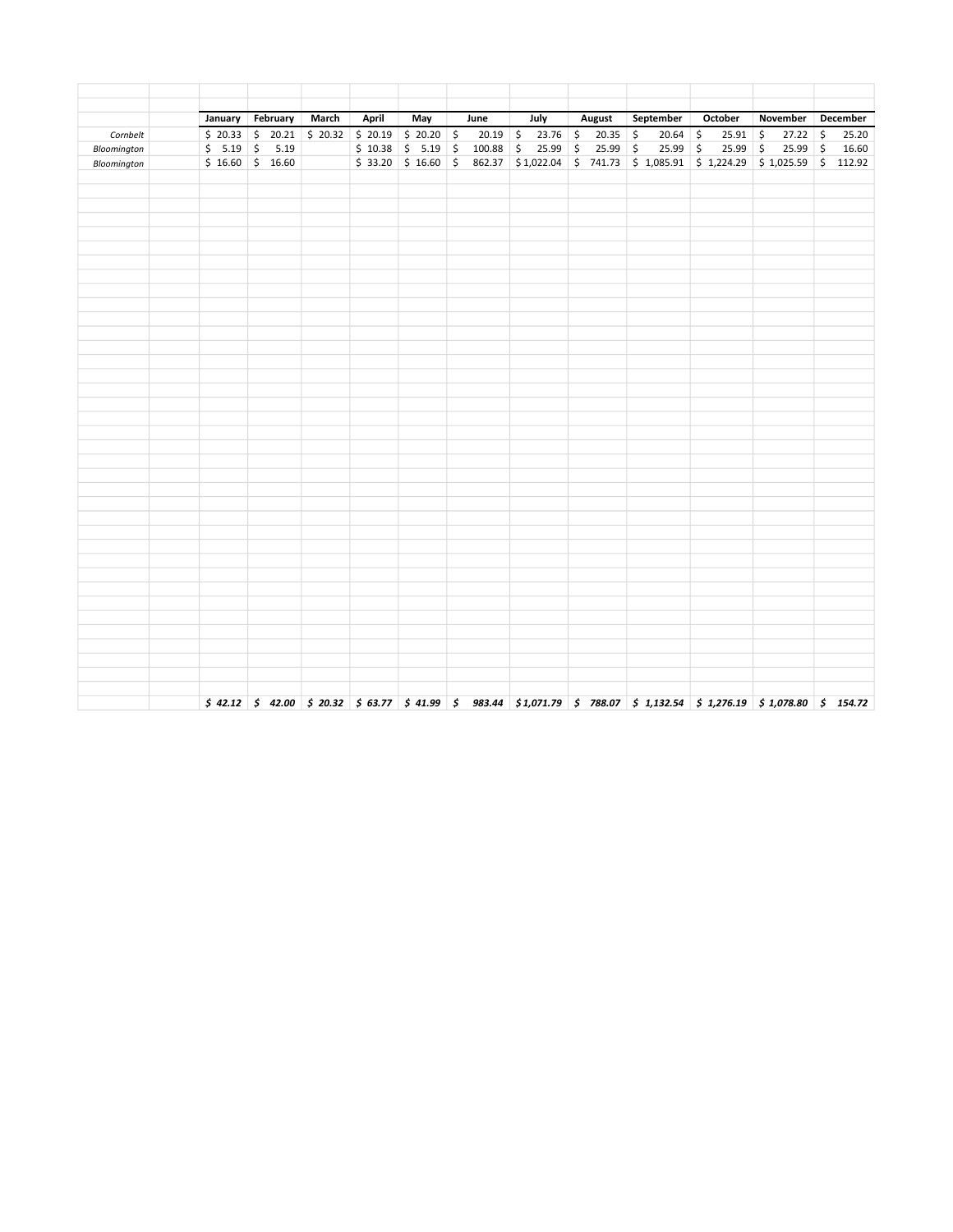|             | January February           | March | April | May                  | June | July                                                                                                                                                                                                                                                            | <b>August</b> | September  | October    | November                          | December |
|-------------|----------------------------|-------|-------|----------------------|------|-----------------------------------------------------------------------------------------------------------------------------------------------------------------------------------------------------------------------------------------------------------------|---------------|------------|------------|-----------------------------------|----------|
| Cornbelt    | $$20.33$ $$20.21$ $$20.32$ |       |       | $$20.19$ $$20.20$ \$ |      | $20.19$ \$<br>$23.76$ \$                                                                                                                                                                                                                                        | $20.35$ \$    | $20.64$ \$ | 25.91      | $\ddot{\mathsf{S}}$<br>$27.22$ \$ | 25.20    |
| Bloomington | $$5.19$ $$5.19$            |       |       |                      |      | $$10.38 \t{5} 5.19 \t{5} 100.88 \t{5} 25.99 \t{5}$                                                                                                                                                                                                              | $25.99$ \$    | $25.99$ \$ | $25.99$ \$ | $25.99$ \$                        | 16.60    |
| Bloomington | $$16.60$ \$ 16.60          |       |       |                      |      | $$33.20$ $$16.60$ $$862.37$ $$1,022.04$ $$741.73$ $$1,085.91$ $$1,224.29$ $$1,025.59$ $$112.92$                                                                                                                                                                 |               |            |            |                                   |          |
|             |                            |       |       |                      |      |                                                                                                                                                                                                                                                                 |               |            |            |                                   |          |
|             |                            |       |       |                      |      |                                                                                                                                                                                                                                                                 |               |            |            |                                   |          |
|             |                            |       |       |                      |      |                                                                                                                                                                                                                                                                 |               |            |            |                                   |          |
|             |                            |       |       |                      |      |                                                                                                                                                                                                                                                                 |               |            |            |                                   |          |
|             |                            |       |       |                      |      |                                                                                                                                                                                                                                                                 |               |            |            |                                   |          |
|             |                            |       |       |                      |      |                                                                                                                                                                                                                                                                 |               |            |            |                                   |          |
|             |                            |       |       |                      |      |                                                                                                                                                                                                                                                                 |               |            |            |                                   |          |
|             |                            |       |       |                      |      |                                                                                                                                                                                                                                                                 |               |            |            |                                   |          |
|             |                            |       |       |                      |      |                                                                                                                                                                                                                                                                 |               |            |            |                                   |          |
|             |                            |       |       |                      |      |                                                                                                                                                                                                                                                                 |               |            |            |                                   |          |
|             |                            |       |       |                      |      |                                                                                                                                                                                                                                                                 |               |            |            |                                   |          |
|             |                            |       |       |                      |      |                                                                                                                                                                                                                                                                 |               |            |            |                                   |          |
|             |                            |       |       |                      |      |                                                                                                                                                                                                                                                                 |               |            |            |                                   |          |
|             |                            |       |       |                      |      |                                                                                                                                                                                                                                                                 |               |            |            |                                   |          |
|             |                            |       |       |                      |      |                                                                                                                                                                                                                                                                 |               |            |            |                                   |          |
|             |                            |       |       |                      |      |                                                                                                                                                                                                                                                                 |               |            |            |                                   |          |
|             |                            |       |       |                      |      |                                                                                                                                                                                                                                                                 |               |            |            |                                   |          |
|             |                            |       |       |                      |      |                                                                                                                                                                                                                                                                 |               |            |            |                                   |          |
|             |                            |       |       |                      |      |                                                                                                                                                                                                                                                                 |               |            |            |                                   |          |
|             |                            |       |       |                      |      |                                                                                                                                                                                                                                                                 |               |            |            |                                   |          |
|             |                            |       |       |                      |      |                                                                                                                                                                                                                                                                 |               |            |            |                                   |          |
|             |                            |       |       |                      |      |                                                                                                                                                                                                                                                                 |               |            |            |                                   |          |
|             |                            |       |       |                      |      |                                                                                                                                                                                                                                                                 |               |            |            |                                   |          |
|             |                            |       |       |                      |      |                                                                                                                                                                                                                                                                 |               |            |            |                                   |          |
|             |                            |       |       |                      |      |                                                                                                                                                                                                                                                                 |               |            |            |                                   |          |
|             |                            |       |       |                      |      |                                                                                                                                                                                                                                                                 |               |            |            |                                   |          |
|             |                            |       |       |                      |      |                                                                                                                                                                                                                                                                 |               |            |            |                                   |          |
|             |                            |       |       |                      |      |                                                                                                                                                                                                                                                                 |               |            |            |                                   |          |
|             |                            |       |       |                      |      |                                                                                                                                                                                                                                                                 |               |            |            |                                   |          |
|             |                            |       |       |                      |      |                                                                                                                                                                                                                                                                 |               |            |            |                                   |          |
|             |                            |       |       |                      |      |                                                                                                                                                                                                                                                                 |               |            |            |                                   |          |
|             |                            |       |       |                      |      |                                                                                                                                                                                                                                                                 |               |            |            |                                   |          |
|             |                            |       |       |                      |      |                                                                                                                                                                                                                                                                 |               |            |            |                                   |          |
|             |                            |       |       |                      |      |                                                                                                                                                                                                                                                                 |               |            |            |                                   |          |
|             |                            |       |       |                      |      | $\left.\begin{array}{ccccc}\n\star & 42.12 & \star & 42.00 & \star & 20.32 & \star & 63.77 & \star & 41.99 & \star & 983.44 & \star & 1,071.79 & \star & 788.07 & \star & 1,132.54 & \star & 1,276.19 & \star & 1,078.80 & \star & 154.72\n\end{array}\right\}$ |               |            |            |                                   |          |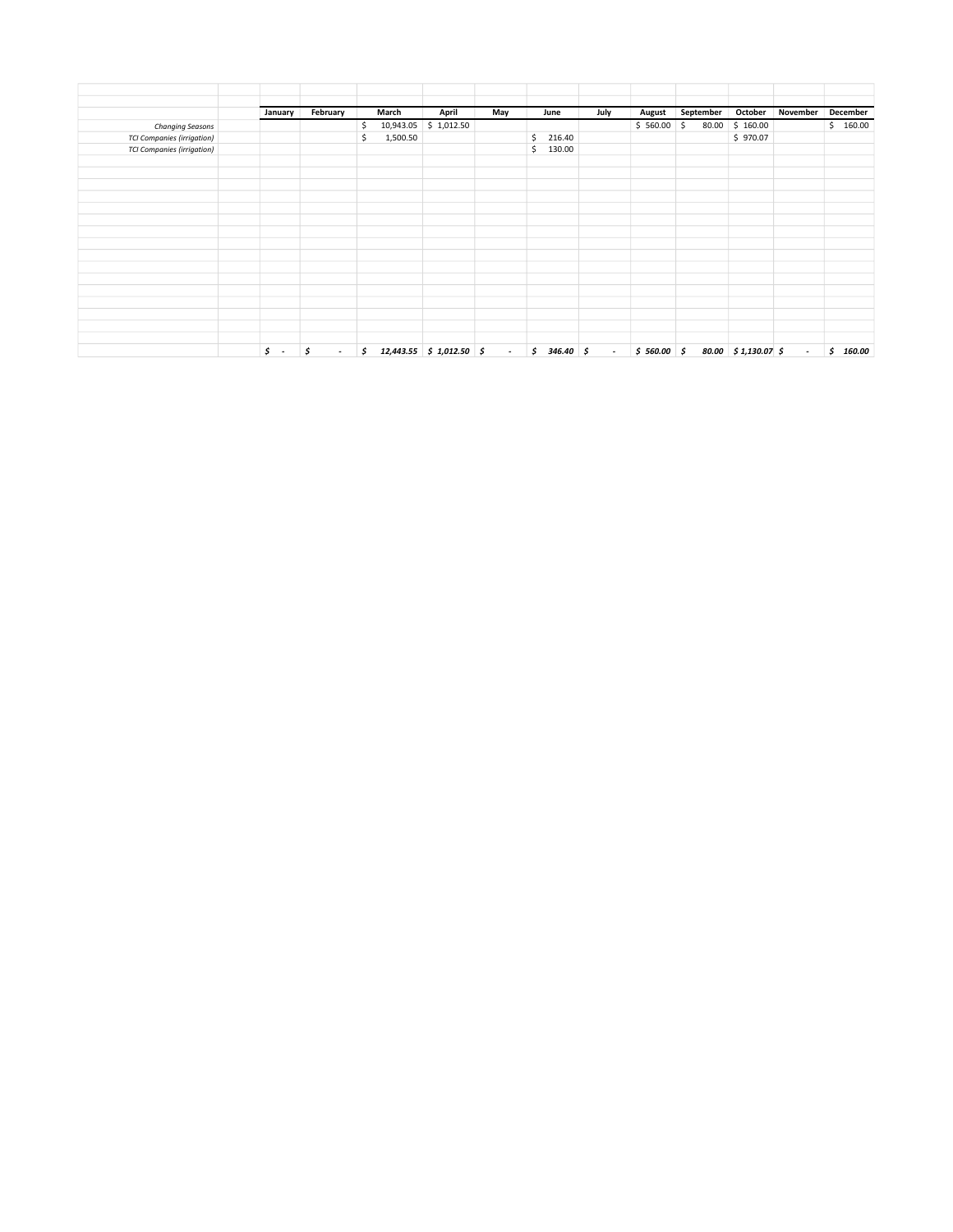|                                   | January      | February     | March           | April                      | May                      | June          | July                     | August     | September   | October                    | November | December     |
|-----------------------------------|--------------|--------------|-----------------|----------------------------|--------------------------|---------------|--------------------------|------------|-------------|----------------------------|----------|--------------|
| Changing Seasons                  |              |              | 10,943.05<br>\$ | \$1,012.50                 |                          |               |                          | \$560.00   | \$<br>80.00 | \$160.00                   |          | \$160.00     |
| <b>TCI Companies (irrigation)</b> |              |              | \$<br>1,500.50  |                            |                          | \$<br>216.40  |                          |            |             | \$970.07                   |          |              |
| <b>TCI Companies (irrigation)</b> |              |              |                 |                            |                          | 130.00<br>\$  |                          |            |             |                            |          |              |
|                                   |              |              |                 |                            |                          |               |                          |            |             |                            |          |              |
|                                   |              |              |                 |                            |                          |               |                          |            |             |                            |          |              |
|                                   |              |              |                 |                            |                          |               |                          |            |             |                            |          |              |
|                                   |              |              |                 |                            |                          |               |                          |            |             |                            |          |              |
|                                   |              |              |                 |                            |                          |               |                          |            |             |                            |          |              |
|                                   |              |              |                 |                            |                          |               |                          |            |             |                            |          |              |
|                                   |              |              |                 |                            |                          |               |                          |            |             |                            |          |              |
|                                   |              |              |                 |                            |                          |               |                          |            |             |                            |          |              |
|                                   |              |              |                 |                            |                          |               |                          |            |             |                            |          |              |
|                                   |              |              |                 |                            |                          |               |                          |            |             |                            |          |              |
|                                   |              |              |                 |                            |                          |               |                          |            |             |                            |          |              |
|                                   |              |              |                 |                            |                          |               |                          |            |             |                            |          |              |
|                                   |              |              |                 |                            |                          |               |                          |            |             |                            |          |              |
|                                   |              |              |                 |                            |                          |               |                          |            |             |                            |          |              |
|                                   | \$<br>$\sim$ | \$<br>$\sim$ | s.              | $12,443.55$ \$ 1,012.50 \$ | $\overline{\phantom{a}}$ | \$<br>346.40% | $\overline{\phantom{a}}$ | \$560.00\$ |             | $80.00 \div 1,130.07 \div$ | $\sim$   | \$<br>160.00 |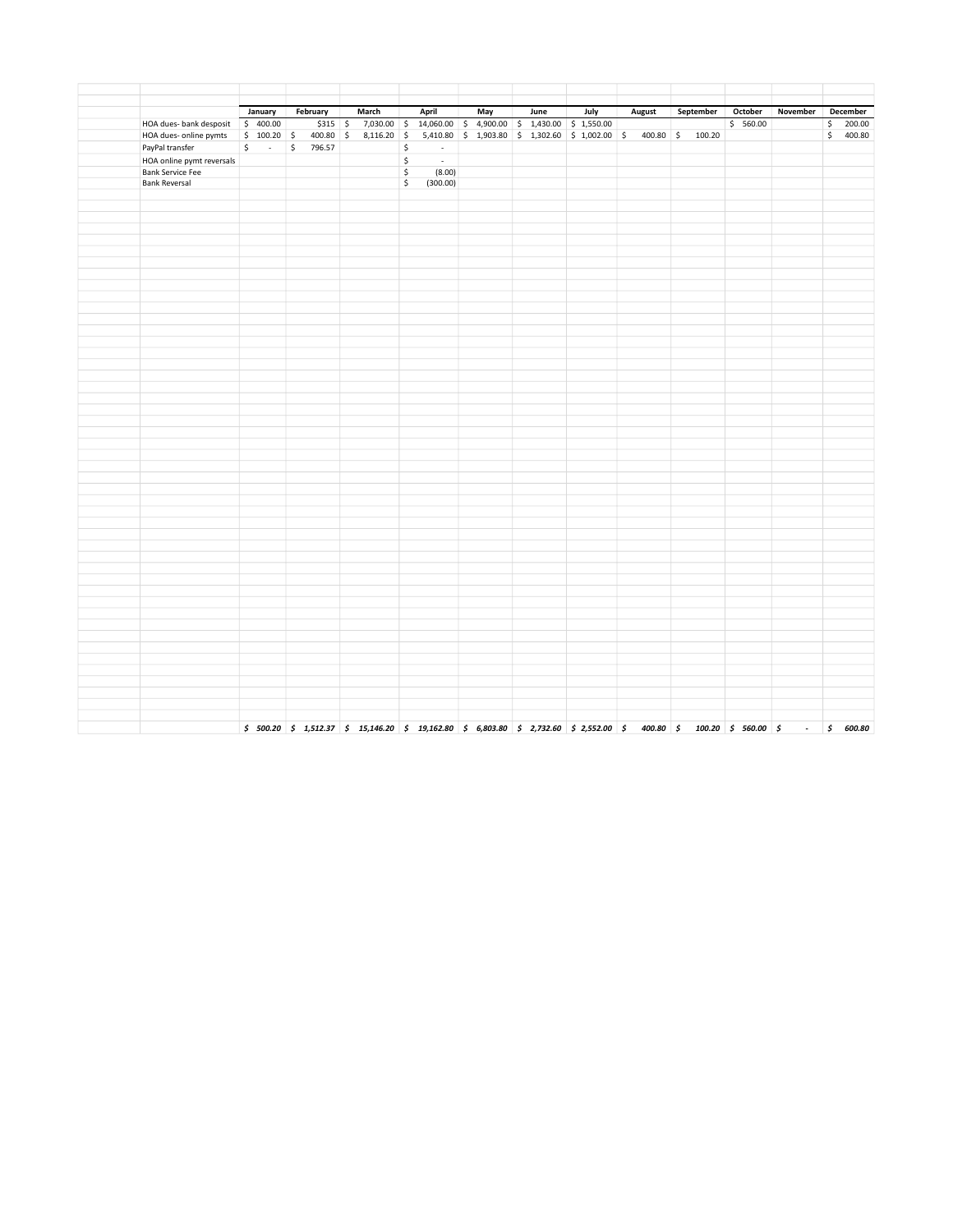|                           | January          | February  | March                                 | April                                                     | May                                                              | June | July | <b>August</b> | September | October  | November   | December  |
|---------------------------|------------------|-----------|---------------------------------------|-----------------------------------------------------------|------------------------------------------------------------------|------|------|---------------|-----------|----------|------------|-----------|
| HOA dues- bank desposit   | \$400.00         | $$315$ \$ |                                       | 7,030.00 \$ 14,060.00 \$ 4,900.00 \$ 1,430.00 \$ 1,550.00 |                                                                  |      |      |               |           | \$560.00 |            | \$200.00  |
| HOA dues- online pymts    |                  |           | $$100.20 \t$ 400.80 \t$ 8,116.20 \t$$ |                                                           | 5,410.80 \$ 1,903.80 \$ 1,302.60 \$ 1,002.00 \$ 400.80 \$ 100.20 |      |      |               |           |          |            | \$ 400.80 |
| PayPal transfer           | \$<br>$\sim 100$ | \$796.57  |                                       | \$<br>$\sim$                                              |                                                                  |      |      |               |           |          |            |           |
| HOA online pymt reversals |                  |           |                                       | \$<br>$\sim$                                              |                                                                  |      |      |               |           |          |            |           |
| <b>Bank Service Fee</b>   |                  |           |                                       | \$<br>(8.00)                                              |                                                                  |      |      |               |           |          |            |           |
| <b>Bank Reversal</b>      |                  |           |                                       | \$<br>(300.00)                                            |                                                                  |      |      |               |           |          |            |           |
|                           |                  |           |                                       |                                                           |                                                                  |      |      |               |           |          |            |           |
|                           |                  |           |                                       |                                                           |                                                                  |      |      |               |           |          |            |           |
|                           |                  |           |                                       |                                                           |                                                                  |      |      |               |           |          |            |           |
|                           |                  |           |                                       |                                                           |                                                                  |      |      |               |           |          |            |           |
|                           |                  |           |                                       |                                                           |                                                                  |      |      |               |           |          |            |           |
|                           |                  |           |                                       |                                                           |                                                                  |      |      |               |           |          |            |           |
|                           |                  |           |                                       |                                                           |                                                                  |      |      |               |           |          |            |           |
|                           |                  |           |                                       |                                                           |                                                                  |      |      |               |           |          |            |           |
|                           |                  |           |                                       |                                                           |                                                                  |      |      |               |           |          |            |           |
|                           |                  |           |                                       |                                                           |                                                                  |      |      |               |           |          |            |           |
|                           |                  |           |                                       |                                                           |                                                                  |      |      |               |           |          |            |           |
|                           |                  |           |                                       |                                                           |                                                                  |      |      |               |           |          |            |           |
|                           |                  |           |                                       |                                                           |                                                                  |      |      |               |           |          |            |           |
|                           |                  |           |                                       |                                                           |                                                                  |      |      |               |           |          |            |           |
|                           |                  |           |                                       |                                                           |                                                                  |      |      |               |           |          |            |           |
|                           |                  |           |                                       |                                                           |                                                                  |      |      |               |           |          |            |           |
|                           |                  |           |                                       |                                                           |                                                                  |      |      |               |           |          |            |           |
|                           |                  |           |                                       |                                                           |                                                                  |      |      |               |           |          |            |           |
|                           |                  |           |                                       |                                                           |                                                                  |      |      |               |           |          |            |           |
|                           |                  |           |                                       |                                                           |                                                                  |      |      |               |           |          |            |           |
|                           |                  |           |                                       |                                                           |                                                                  |      |      |               |           |          |            |           |
|                           |                  |           |                                       |                                                           |                                                                  |      |      |               |           |          |            |           |
|                           |                  |           |                                       |                                                           |                                                                  |      |      |               |           |          |            |           |
|                           |                  |           |                                       |                                                           |                                                                  |      |      |               |           |          |            |           |
|                           |                  |           |                                       |                                                           |                                                                  |      |      |               |           |          |            |           |
|                           |                  |           |                                       |                                                           |                                                                  |      |      |               |           |          |            |           |
|                           |                  |           |                                       |                                                           |                                                                  |      |      |               |           |          |            |           |
|                           |                  |           |                                       |                                                           |                                                                  |      |      |               |           |          |            |           |
|                           |                  |           |                                       |                                                           |                                                                  |      |      |               |           |          |            |           |
|                           |                  |           |                                       |                                                           |                                                                  |      |      |               |           |          |            |           |
|                           |                  |           |                                       |                                                           |                                                                  |      |      |               |           |          |            |           |
|                           |                  |           |                                       |                                                           |                                                                  |      |      |               |           |          |            |           |
|                           |                  |           |                                       |                                                           |                                                                  |      |      |               |           |          |            |           |
|                           |                  |           |                                       |                                                           |                                                                  |      |      |               |           |          |            |           |
|                           |                  |           |                                       |                                                           |                                                                  |      |      |               |           |          |            |           |
|                           |                  |           |                                       |                                                           |                                                                  |      |      |               |           |          |            |           |
|                           |                  |           |                                       |                                                           |                                                                  |      |      |               |           |          |            |           |
|                           |                  |           |                                       |                                                           |                                                                  |      |      |               |           |          |            |           |
|                           |                  |           |                                       |                                                           |                                                                  |      |      |               |           |          |            |           |
|                           |                  |           |                                       |                                                           |                                                                  |      |      |               |           |          |            |           |
|                           |                  |           |                                       |                                                           |                                                                  |      |      |               |           |          |            |           |
|                           |                  |           |                                       |                                                           |                                                                  |      |      |               |           |          |            |           |
|                           |                  |           |                                       |                                                           |                                                                  |      |      |               |           |          |            |           |
|                           |                  |           |                                       |                                                           |                                                                  |      |      |               |           |          | $\sim$ $-$ | \$600.80  |
|                           |                  |           |                                       |                                                           |                                                                  |      |      |               |           |          |            |           |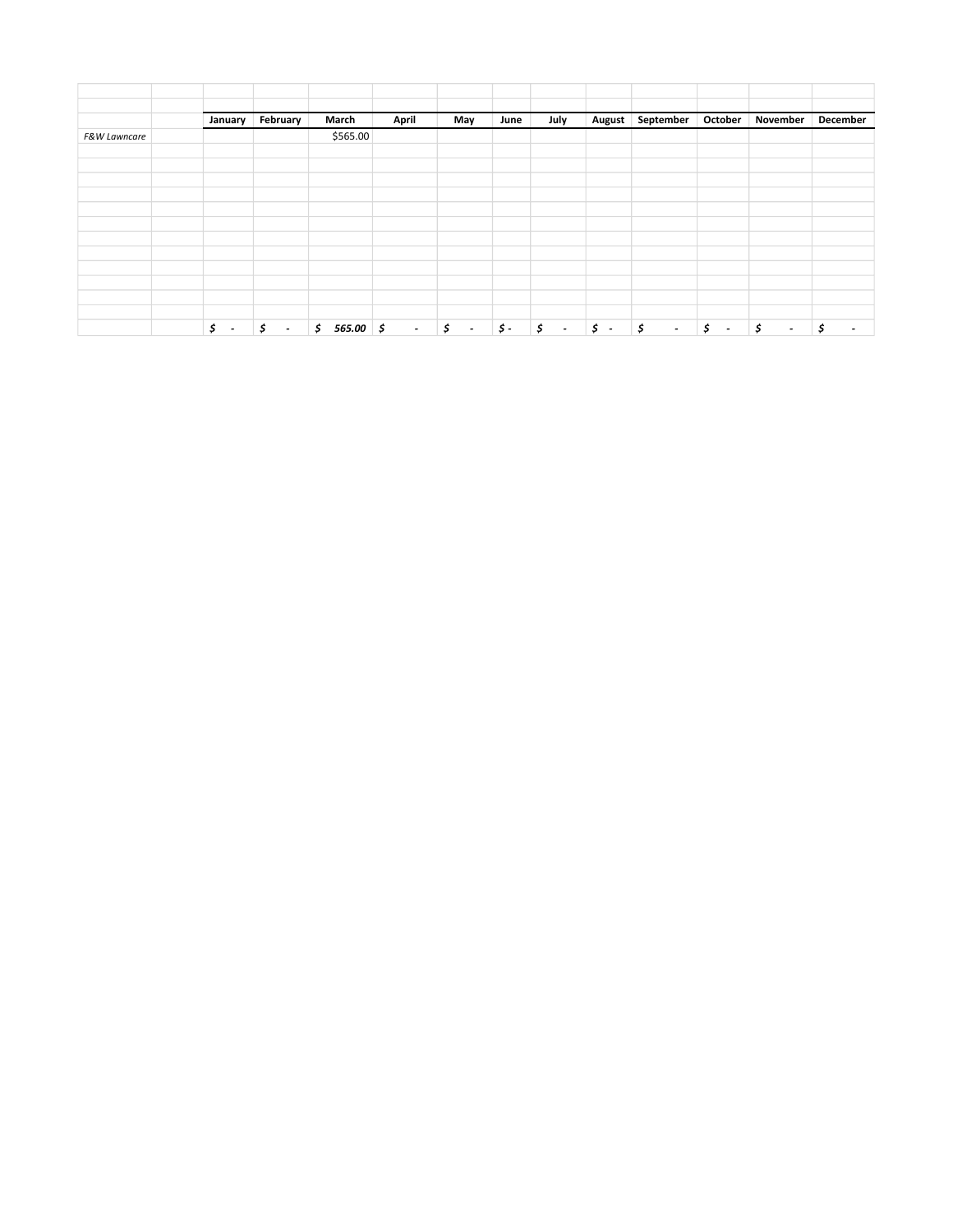|                         | January                        | February                       | March         | April          | May                                     | June           | July                           | <b>August</b>    | September    | October                        | November                       | December                       |
|-------------------------|--------------------------------|--------------------------------|---------------|----------------|-----------------------------------------|----------------|--------------------------------|------------------|--------------|--------------------------------|--------------------------------|--------------------------------|
| <b>F&amp;W Lawncare</b> |                                |                                | \$565.00      |                |                                         |                |                                |                  |              |                                |                                |                                |
|                         |                                |                                |               |                |                                         |                |                                |                  |              |                                |                                |                                |
|                         |                                |                                |               |                |                                         |                |                                |                  |              |                                |                                |                                |
|                         |                                |                                |               |                |                                         |                |                                |                  |              |                                |                                |                                |
|                         |                                |                                |               |                |                                         |                |                                |                  |              |                                |                                |                                |
|                         |                                |                                |               |                |                                         |                |                                |                  |              |                                |                                |                                |
|                         |                                |                                |               |                |                                         |                |                                |                  |              |                                |                                |                                |
|                         |                                |                                |               |                |                                         |                |                                |                  |              |                                |                                |                                |
|                         |                                |                                |               |                |                                         |                |                                |                  |              |                                |                                |                                |
|                         |                                |                                |               |                |                                         |                |                                |                  |              |                                |                                |                                |
|                         | Š.<br>$\overline{\phantom{a}}$ | \$<br>$\overline{\phantom{a}}$ | 565.00%<br>\$ | $\sim 10^{-1}$ | $\mathfrak{s}$<br>$\tilde{\phantom{a}}$ | $\mathsf{S}$ - | Ś.<br>$\overline{\phantom{a}}$ | $\mathfrak{s}$ - | \$<br>$\sim$ | \$<br>$\overline{\phantom{a}}$ | \$<br>$\overline{\phantom{a}}$ | \$<br>$\overline{\phantom{a}}$ |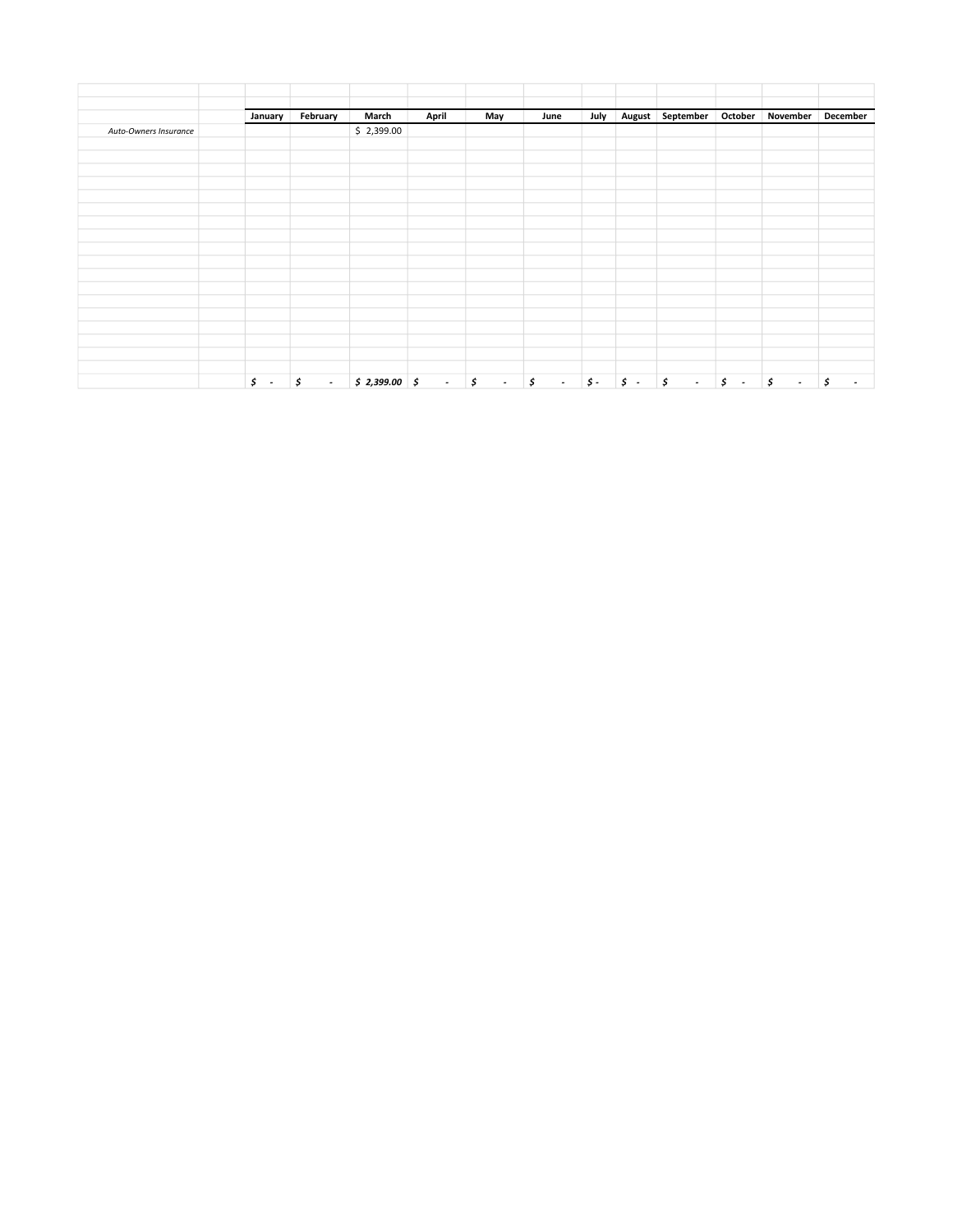|                       | January          | February     | March          | April  | May          | June         | July       |            | August September October |                                | November           | December                       |
|-----------------------|------------------|--------------|----------------|--------|--------------|--------------|------------|------------|--------------------------|--------------------------------|--------------------|--------------------------------|
| Auto-Owners Insurance |                  |              | \$2,399.00     |        |              |              |            |            |                          |                                |                    |                                |
|                       |                  |              |                |        |              |              |            |            |                          |                                |                    |                                |
|                       |                  |              |                |        |              |              |            |            |                          |                                |                    |                                |
|                       |                  |              |                |        |              |              |            |            |                          |                                |                    |                                |
|                       |                  |              |                |        |              |              |            |            |                          |                                |                    |                                |
|                       |                  |              |                |        |              |              |            |            |                          |                                |                    |                                |
|                       |                  |              |                |        |              |              |            |            |                          |                                |                    |                                |
|                       |                  |              |                |        |              |              |            |            |                          |                                |                    |                                |
|                       |                  |              |                |        |              |              |            |            |                          |                                |                    |                                |
|                       |                  |              |                |        |              |              |            |            |                          |                                |                    |                                |
|                       |                  |              |                |        |              |              |            |            |                          |                                |                    |                                |
|                       |                  |              |                |        |              |              |            |            |                          |                                |                    |                                |
|                       |                  |              |                |        |              |              |            |            |                          |                                |                    |                                |
|                       |                  |              |                |        |              |              |            |            |                          |                                |                    |                                |
|                       |                  |              |                |        |              |              |            |            |                          |                                |                    |                                |
|                       |                  |              |                |        |              |              |            |            |                          |                                |                    |                                |
|                       | $\mathfrak{s}$ . | \$<br>$\sim$ | $$2,399.00$ \$ | $\sim$ | \$<br>$\sim$ | \$<br>$\sim$ | $\sharp$ - | $\sharp$ . | \$<br>$\sim$             | \$<br>$\overline{\phantom{a}}$ | $\sharp$<br>$\sim$ | \$<br>$\overline{\phantom{a}}$ |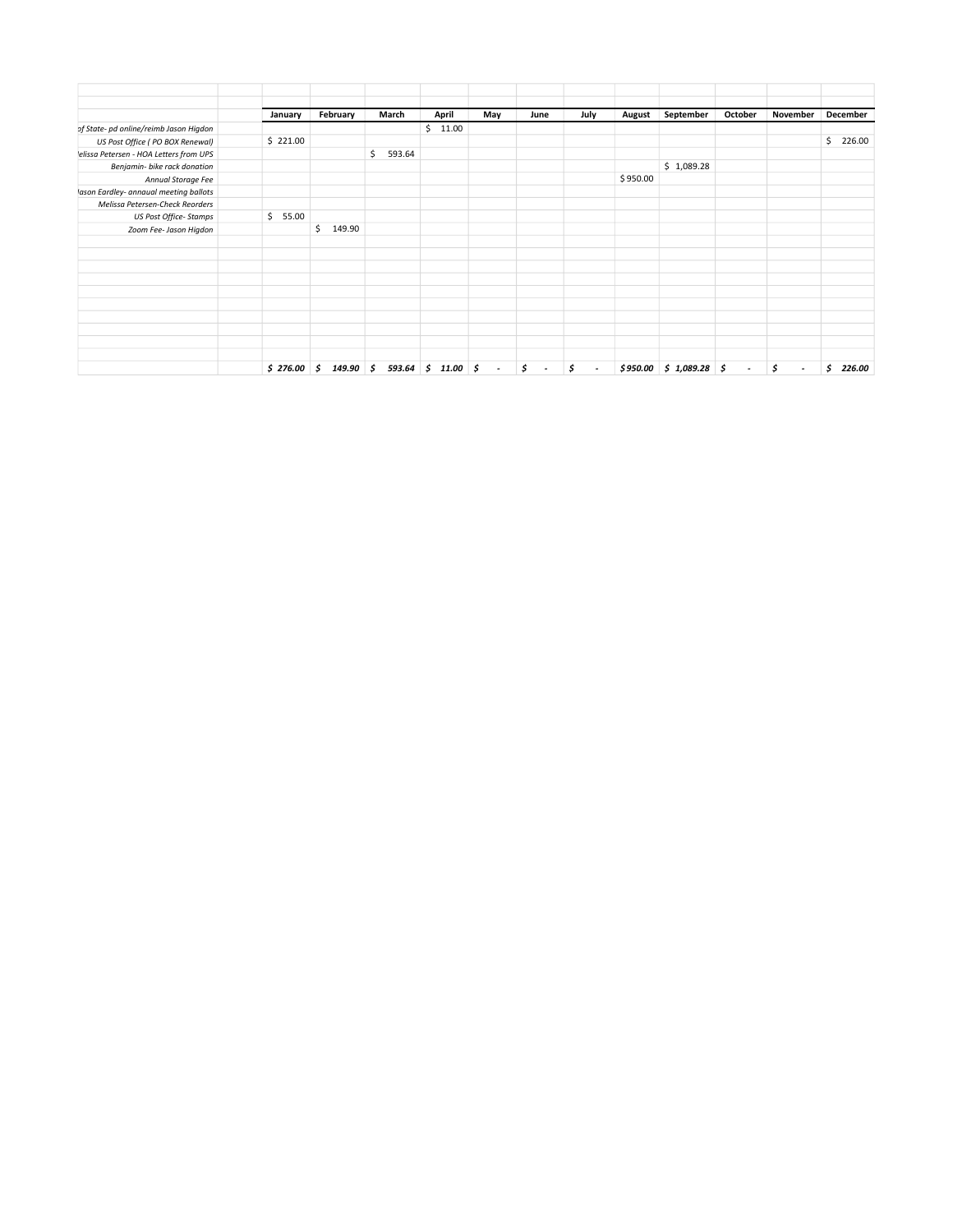|                                        | January     | February        | March        | April                | May    | June         | July         | August   | September                  | October | November                       | December     |
|----------------------------------------|-------------|-----------------|--------------|----------------------|--------|--------------|--------------|----------|----------------------------|---------|--------------------------------|--------------|
| of State- pd online/reimb Jason Higdon |             |                 |              | \$11.00              |        |              |              |          |                            |         |                                |              |
| US Post Office (PO BOX Renewal)        | \$221.00    |                 |              |                      |        |              |              |          |                            |         |                                | \$<br>226.00 |
| elissa Petersen - HOA Letters from UPS |             |                 | \$<br>593.64 |                      |        |              |              |          |                            |         |                                |              |
| Benjamin- bike rack donation           |             |                 |              |                      |        |              |              |          | \$1,089.28                 |         |                                |              |
| Annual Storage Fee                     |             |                 |              |                      |        |              |              | \$950.00 |                            |         |                                |              |
| lason Eardley- annaual meeting ballots |             |                 |              |                      |        |              |              |          |                            |         |                                |              |
| Melissa Petersen-Check Reorders        |             |                 |              |                      |        |              |              |          |                            |         |                                |              |
| US Post Office-Stamps                  | \$<br>55.00 |                 |              |                      |        |              |              |          |                            |         |                                |              |
| Zoom Fee- Jason Higdon                 |             | 149.90<br>\$    |              |                      |        |              |              |          |                            |         |                                |              |
|                                        |             |                 |              |                      |        |              |              |          |                            |         |                                |              |
|                                        |             |                 |              |                      |        |              |              |          |                            |         |                                |              |
|                                        |             |                 |              |                      |        |              |              |          |                            |         |                                |              |
|                                        |             |                 |              |                      |        |              |              |          |                            |         |                                |              |
|                                        |             |                 |              |                      |        |              |              |          |                            |         |                                |              |
|                                        |             |                 |              |                      |        |              |              |          |                            |         |                                |              |
|                                        |             |                 |              |                      |        |              |              |          |                            |         |                                |              |
|                                        |             |                 |              |                      |        |              |              |          |                            |         |                                |              |
|                                        |             |                 |              |                      |        |              |              |          |                            |         |                                |              |
|                                        |             |                 |              |                      |        |              |              |          |                            |         |                                |              |
|                                        | \$276.00    | \$<br>149.90 \$ |              | $593.64$ \$ 11.00 \$ | $\sim$ | \$<br>$\sim$ | \$<br>$\sim$ |          | $$950.00 \t$ 1,089.28 \t$$ | $\sim$  | \$<br>$\overline{\phantom{a}}$ | \$<br>226.00 |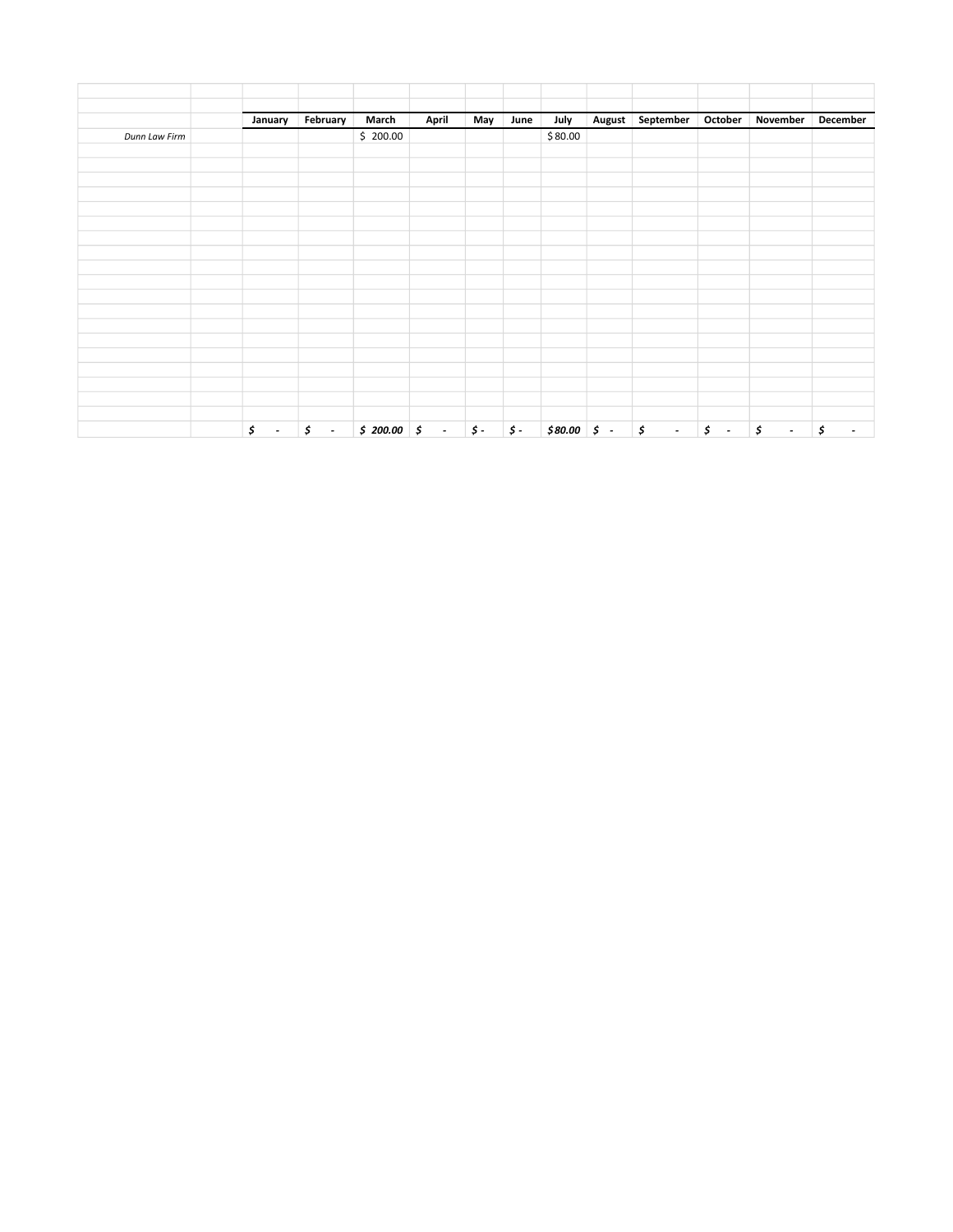|               | January                        | February         | March        | April          | May                         | June       | July    | <b>August</b> | September              | October | November                 | December                        |
|---------------|--------------------------------|------------------|--------------|----------------|-----------------------------|------------|---------|---------------|------------------------|---------|--------------------------|---------------------------------|
| Dunn Law Firm |                                |                  | \$200.00     |                |                             |            | \$80.00 |               |                        |         |                          |                                 |
|               |                                |                  |              |                |                             |            |         |               |                        |         |                          |                                 |
|               |                                |                  |              |                |                             |            |         |               |                        |         |                          |                                 |
|               |                                |                  |              |                |                             |            |         |               |                        |         |                          |                                 |
|               |                                |                  |              |                |                             |            |         |               |                        |         |                          |                                 |
|               |                                |                  |              |                |                             |            |         |               |                        |         |                          |                                 |
|               |                                |                  |              |                |                             |            |         |               |                        |         |                          |                                 |
|               |                                |                  |              |                |                             |            |         |               |                        |         |                          |                                 |
|               |                                |                  |              |                |                             |            |         |               |                        |         |                          |                                 |
|               |                                |                  |              |                |                             |            |         |               |                        |         |                          |                                 |
|               |                                |                  |              |                |                             |            |         |               |                        |         |                          |                                 |
|               |                                |                  |              |                |                             |            |         |               |                        |         |                          |                                 |
|               |                                |                  |              |                |                             |            |         |               |                        |         |                          |                                 |
|               |                                |                  |              |                |                             |            |         |               |                        |         |                          |                                 |
|               |                                |                  |              |                |                             |            |         |               |                        |         |                          |                                 |
|               | \$<br>$\overline{\phantom{a}}$ | $\mathfrak{s}$ . | $$200.00$ \$ | $\mathbb{Z}^2$ | $\boldsymbol{\mathsf{S}}$ - | $\sharp$ - |         |               | $$80.00 \t{5} - $ & .$ |         | $\int$ $S$ $\int$ $\int$ | ی ا<br>$\overline{\phantom{a}}$ |